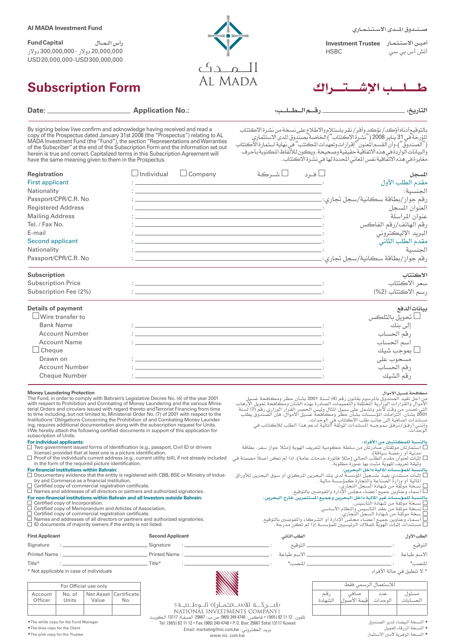ن دوق الملدى الاستشمارى

| امين الاستثمار – Investment Trustee |                      |
|-------------------------------------|----------------------|
| <b>HSBC</b>                         | ٰتش أس ب <i>ي سي</i> |

۳<br>الـــمـــدگ

| <b>AI MADA Investment Fund</b> |
|--------------------------------|
|--------------------------------|

رأس الــمـــال **Capital Fund** 20,000,000 دوالر - 300,000,000 دوالر USD 20,000,000 - USD 300,000,000

# **Subscription Form**

|  | $\frac{77}{4}$ |  |
|--|----------------|--|
|  |                |  |

مستندات إصافية إلى جانب طلب الاكتتاب في الوحدات.<br>وإننـي أرفـق/نـرفـق بـمـوجـبـه المستندات الموثقة التالية لدعم هذا الطلب للاكتتاب في<br>الوحدات:

] نسخة موثقة من شهادة السجل التجاري.<br>] أسماء وعناوين جميع أعضاء مجلس الإدارة والموضين بالتوقيع.<br>بالنسبة للمؤسسات غير المالية داخل البحرين وجميع المستثمرين خارج البحرين:<br>] نسخة موثقة من شهادة التأسيس.

بالنسبة للمكتتبين من الأفراد:<br>أـــ استمار نارقتنان سادرتان من سلطة حكومية لتعريف الهوية (مثلا جواز سفر، بطاقة<br>أـــ استمار تارقتنان صادرتان الحالي (مثلا فاتورة خدمات عامة)، إذا لم تكن أصلاً مضمنة في<br>إلـــــــــــــــــــــ

| Date: <u>Date: Electronic Contract Contract Contract Contract Contract Contract Contract Contract Contract Contract Contract Contract Contract Contract Contract Contract Contract Contract Contract Contract Contract Contract </u> | <b>Application No.:</b>                                                                                                                                                                                                                                                                                                                                                                                                                                                                                                        |                                                                                                                                                                                                                                                                                                                                                                   | التاريخ:                                                                                                                                                    |
|--------------------------------------------------------------------------------------------------------------------------------------------------------------------------------------------------------------------------------------|--------------------------------------------------------------------------------------------------------------------------------------------------------------------------------------------------------------------------------------------------------------------------------------------------------------------------------------------------------------------------------------------------------------------------------------------------------------------------------------------------------------------------------|-------------------------------------------------------------------------------------------------------------------------------------------------------------------------------------------------------------------------------------------------------------------------------------------------------------------------------------------------------------------|-------------------------------------------------------------------------------------------------------------------------------------------------------------|
| have the same meaning given to them in the Prospectus.                                                                                                                                                                               | By signing below I/we confirm and acknowledge having received and read a<br>copy of the Prospectus dated January 31st 2008 (the "Prospectus") relating to AL<br>MADA Investment Fund (the "Fund"), the section "Representations and Warranties<br>of the Subscriber" at the end of this Subscription Form and the information set out<br>herein is true and correct. Capitalized terms in this Subscription Agreement will                                                                                                     | بالتوقيع أدناه أؤكد/ نؤكد وأقر/ نقر باستلام والاطلاع على نسخة من نشرة الاكتتاب<br>المؤرخة في 31 يناير 2008 ("نشرة الاكتتاب") الخاصة بصندوق الدى الاستثماري<br>("الصندوق")، وأن القسم المنون" إقرارات وتعهدات الكتتب" في نهاية استما<br>والبيانات الواردة في هذه الاتفاقية حقيقية وصحيحة. ويكون للألّفاظ المكتوبة بأحرف                                            | مَّغايَرة في هذَّه الاتفَّاقية نفس المعاني المحددة لها في نشَّرة الأَكتتاب.                                                                                 |
| Registration<br><b>First applicant</b><br>Nationality<br>Passport/CPR/C.R. No<br><b>Registered Address</b><br><b>Mailing Address</b><br>Tel. / Fax No.<br>E-mail<br><b>Second applicant</b><br>Nationality                           | $\Box$ Company<br>$\Box$ Individual<br><u> 1999 - Johann John Stein, markin fan it ferskearre fan it ferskearre fan it ferskearre fan it ferskearre fan</u><br><u> 1988 - Andrea Station Barbara, actor a contra de la contra de la contra de la contra de la contra de la con</u><br><u> 1988 - Johann John Stein, maritan amerikan basal (</u><br><u> 1999 - Jan Alexandria (h. 1989).</u><br>1904 - Johann Alexandria, frantziar idazlea (h. 1905).<br><u> 1988 - Andrea Station, american american american american a</u> | ∟فرد للشركة<br><u> 1999 - Jan Alexandro Alexandro Alexandro Alexandro Alexandro Alexandro Alexandro Alexandro Alexandro Alexandro </u>                                                                                                                                                                                                                            | المسحل<br>مقدم الطلب الأول<br>الحنسية:<br>العنوان المسجل<br>عنوان المراسلة<br>رقم الهاتف/رقم الفاكس<br>البريد الإليكتروني<br>مقدم الطلب الثاني ً<br>الجنسية |
| Passport/CPR/C.R. No<br><b>Subscription</b><br><b>Subscription Price</b><br>Subscription Fee (2%)                                                                                                                                    | <u> 1999 - Johann John Stein, markin fan it ferskearre fan it ferskearre fan it ferskearre fan it ferskearre fan</u><br><u> 1989 - Johann John Stein, markin fan de Fryske kunstner oantal fan de Fryske kunstner oantal fan de Fryske k</u>                                                                                                                                                                                                                                                                                   |                                                                                                                                                                                                                                                                                                                                                                   | الاكتتاب<br>سعر الاكتتاب<br>رسم الاكتتاب (2%)                                                                                                               |
| <b>Details of payment</b><br>Wire transfer to<br><b>Bank Name</b><br><b>Account Number</b><br><b>Account Name</b><br>$\Box$ Cheque<br>Drawn on<br><b>Account Number</b><br><b>Cheque Number</b>                                      | <u> 1988 - Johann John Stein, maritan amerikan basal (</u><br><u> : la construcción de la construcción de la construcción de la construcción de la construcción de la construcci</u><br><u> 1988 - Andrea Stadt Britain, amerikansk politiker (d. 1989)</u><br>the contract of the contract of the contract of the contract of the contract of the contract of the                                                                                                                                                             |                                                                                                                                                                                                                                                                                                                                                                   | بيانات الدهع<br>_] تحويل بالتلكس<br>إلى بنك<br>رقم الحساب<br>اسم الحساب<br>ا يموجب شيك<br>مسحوب على<br>رقم الحساب<br>رقم الشيك                              |
| <b>Money Laundering Protection</b>                                                                                                                                                                                                   | The Fund, in order to comply with Bahrain's Legislative Decree No. (4) of the year 2001<br>with respect to Prohibition and Combating of Money Laundering and the various Minis-<br>terial Orders and circulars issued with regard thereto and Terrorist Financing from time<br>to time including, but not limited to, Ministerial Order No. (7) of 2001 with respect to the                                                                                                                                                    | من أجل تقيد الصندوق بالمرسوم بقانون رقم (4) لسنة 2001 بشأن حظر ومكافحة غسيل<br>الأموال والقرارات الوزارية المختلفة والتعميمات الصادرة بهذه الشآن ومكافحة تمويل الإرهاب<br>س سرس سے رہے۔<br>التي تصدر من وقت لا خُر وتشمل على سبيل المال وليس الحصر القرار الوزاري رقم (7) لُسنة "<br>2001 بشأن، التزامات المؤسسات بشأن حظر ومكافحة غسيل الأموال، فإن الصندوق يطلب | مكافحة غسيل الأموال                                                                                                                                         |

with respect to Prohibition and Combating of Money Laundering and the various Ministerial Orders and circulars issued with regard thereto and Terrorist Financing from time to time including, but not limited to, Ministerial I/We hereby attach the following certified documents in support of this application for subscription of Units:

## **For individual applicants:**

- 
- Two government issued forms of identification (e.g., passport, Civil ID or drivers<br>license) provided that at least one is a picture identification.<br>Proof of the individual's current address (e.g., current utility bill), if
- 

- **For financial institutions within Bahrain:**<br>□ Documentary evidence that the entity is registered with CBB, BSE or Ministry of Indus-<br>try and Commerce as a financial institution.
- Certified copy of commercial registration certificate. Names and addresses of all directors or partners and authorized signatories.
- **For non-financial institutions within Bahrain and all Investors outside Bahrain:**
- 
- Certified copy of Incorporation. Certified copy of Memorandum and Articles of Association. Certified copy of commercial registration certificate.
- 
- Names copy of commercial registration certificate.<br>
Certified copy of commercial registration certificate.<br>
Names and addresses of all directors or partners and authorized signatories.<br>
ID documents of majority owners if t ID documents of majority owners if the entity is not listed.

| $\Box$ Certified copy of Memorandum and Articles of Association.<br>$\Box$ Certified copy of commercial registration certificate.<br>$\Box$ Names and addresses of all directors or partners and authorized signatories.<br>$\Box$ ID documents of majority owners if the entity is not listed. |                         | □ أسمـاء وعناوين جميـع أعضـاء مجـلس الإدارة أو الشـركـاء والمفوضـين بالتوفيـع.<br>مستندات إثبات الهوية للملاك الرئيسيين للمؤسسة إذا لم تكن مدرجة . $\Box$ | □ نسخة موثقة من عقد التأسيس والنظام الأساسي<br>□ سخة موثقة من شهادة السجل التجاري. |
|-------------------------------------------------------------------------------------------------------------------------------------------------------------------------------------------------------------------------------------------------------------------------------------------------|-------------------------|-----------------------------------------------------------------------------------------------------------------------------------------------------------|------------------------------------------------------------------------------------|
| <b>First Applicant</b>                                                                                                                                                                                                                                                                          | <b>Second Applicant</b> | الطلب الثاني                                                                                                                                              | الطلب الأول                                                                        |
| Signature                                                                                                                                                                                                                                                                                       | . Sianature             | التوقيع                                                                                                                                                   | التوقيع                                                                            |
| Printed Name:                                                                                                                                                                                                                                                                                   | Printed Name:           | الاسم طباعة                                                                                                                                               | الاسم طباعة                                                                        |
| Title*                                                                                                                                                                                                                                                                                          | Title*                  | المنصب*                                                                                                                                                   | النصب*                                                                             |

\* Not applicable in case of individuals

| For Official use only |                 |       |                                  |
|-----------------------|-----------------|-------|----------------------------------|
| Account<br>Officer    | No. of<br>Units | Value | Net Asset   Certificate  <br>No. |
|                       |                 |       |                                  |

تلفون: 12 11 82 (965) • فاگس: 4748 249 (965) ص.ب: 25667 الصـفـاة 13117 الگويـت Tel: (965) 82 11 12 • Fax: (965) 249 4748 • P.O. Box: 25667 Safat 13117 Kuwait Email: marketing@nic.com.kw :الگتروني بريد

• النسخة البيضاء لدير الصندوق<br>• النسخة الزرقاء للعميل<br>• النسخة الزهرية لأمين الاستثمار

مسئول<br>احسانات احلسابات

\* ال تنطبق في حالة األفراد

لالستعمال الرسمي فقط

صافي ة الأم<sup>ة</sup>

رقـم الشهادة

عدد الوحدات

www.nic .com.kw

• The white copy for the Fund Manager • The blue copy for the Client

• The pink copy for the Trustee